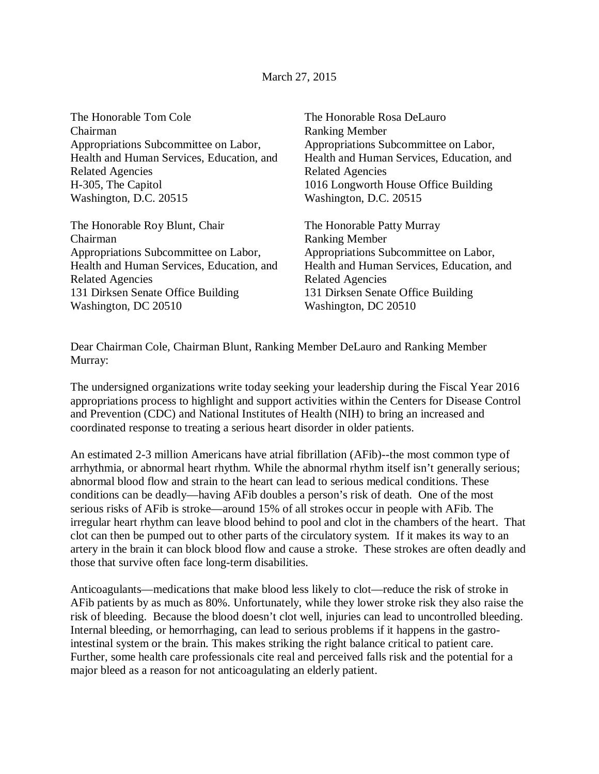## March 27, 2015

The Honorable Tom Cole Chairman Appropriations Subcommittee on Labor, Health and Human Services, Education, and Related Agencies H-305, The Capitol Washington, D.C. 20515

The Honorable Roy Blunt, Chair Chairman Appropriations Subcommittee on Labor, Health and Human Services, Education, and Related Agencies 131 Dirksen Senate Office Building Washington, DC 20510

The Honorable Rosa DeLauro Ranking Member Appropriations Subcommittee on Labor, Health and Human Services, Education, and Related Agencies 1016 Longworth House Office Building Washington, D.C. 20515

The Honorable Patty Murray Ranking Member Appropriations Subcommittee on Labor, Health and Human Services, Education, and Related Agencies 131 Dirksen Senate Office Building Washington, DC 20510

Dear Chairman Cole, Chairman Blunt, Ranking Member DeLauro and Ranking Member Murray:

The undersigned organizations write today seeking your leadership during the Fiscal Year 2016 appropriations process to highlight and support activities within the Centers for Disease Control and Prevention (CDC) and National Institutes of Health (NIH) to bring an increased and coordinated response to treating a serious heart disorder in older patients.

An estimated 2-3 million Americans have atrial fibrillation (AFib)--the most common type of arrhythmia, or abnormal heart rhythm. While the abnormal rhythm itself isn't generally serious; abnormal blood flow and strain to the heart can lead to serious medical conditions. These conditions can be deadly—having AFib doubles a person's risk of death. One of the most serious risks of AFib is stroke—around 15% of all strokes occur in people with AFib. The irregular heart rhythm can leave blood behind to pool and clot in the chambers of the heart. That clot can then be pumped out to other parts of the circulatory system. If it makes its way to an artery in the brain it can block blood flow and cause a stroke. These strokes are often deadly and those that survive often face long-term disabilities.

Anticoagulants—medications that make blood less likely to clot—reduce the risk of stroke in AFib patients by as much as 80%. Unfortunately, while they lower stroke risk they also raise the risk of bleeding. Because the blood doesn't clot well, injuries can lead to uncontrolled bleeding. Internal bleeding, or hemorrhaging, can lead to serious problems if it happens in the gastrointestinal system or the brain. This makes striking the right balance critical to patient care. Further, some health care professionals cite real and perceived falls risk and the potential for a major bleed as a reason for not anticoagulating an elderly patient.